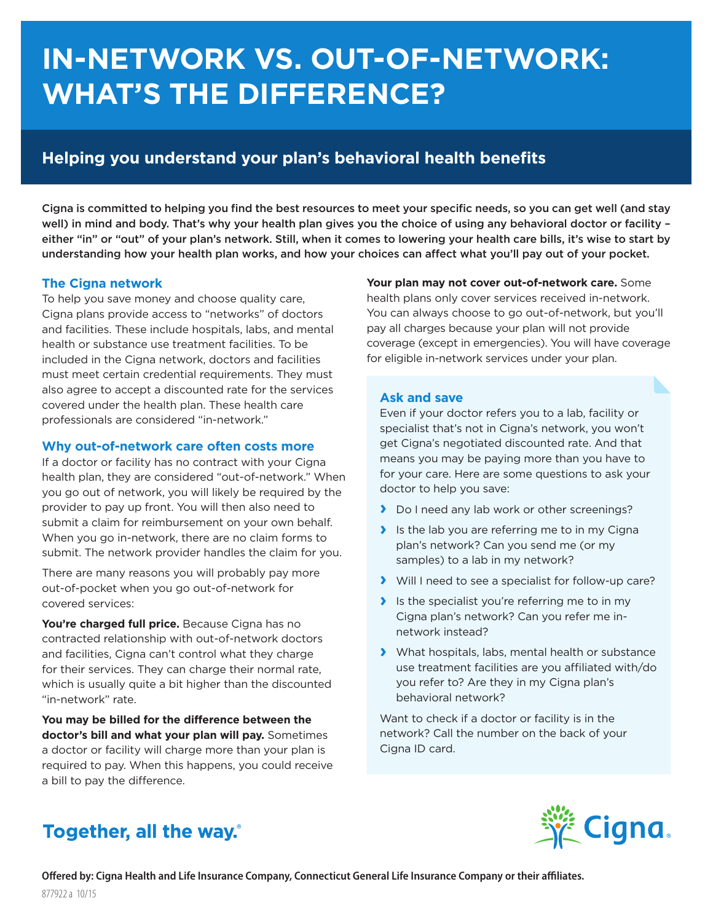# **IN-NETWORK VS. OUT-OF-NETWORK: WHAT'S THE DIFFERENCE?**

## **Helping you understand your plan's behavioral health benefits**

Cigna is committed to helping you find the best resources to meet your specific needs, so you can get well (and stay well) in mind and body. That's why your health plan gives you the choice of using any behavioral doctor or facility – either "in" or "out" of your plan's network. Still, when it comes to lowering your health care bills, it's wise to start by understanding how your health plan works, and how your choices can affect what you'll pay out of your pocket.

### **The Cigna network**

To help you save money and choose quality care, Cigna plans provide access to "networks" of doctors and facilities. These include hospitals, labs, and mental health or substance use treatment facilities. To be included in the Cigna network, doctors and facilities must meet certain credential requirements. They must also agree to accept a discounted rate for the services covered under the health plan. These health care professionals are considered "in-network."

#### **Why out-of-network care often costs more**

If a doctor or facility has no contract with your Cigna health plan, they are considered "out-of-network." When you go out of network, you will likely be required by the provider to pay up front. You will then also need to submit a claim for reimbursement on your own behalf. When you go in-network, there are no claim forms to submit. The network provider handles the claim for you.

There are many reasons you will probably pay more out-of-pocket when you go out-of-network for covered services:

You're charged full price. Because Cigna has no contracted relationship with out-of-network doctors and facilities, Cigna can't control what they charge for their services. They can charge their normal rate, which is usually quite a bit higher than the discounted "in-network" rate.

**You may be billed for the difference between the doctor's bill and what your plan will pay.** Sometimes a doctor or facility will charge more than your plan is required to pay. When this happens, you could receive a bill to pay the difference.

**Your plan may not cover out-of-network care.** Some health plans only cover services received in-network. You can always choose to go out-of-network, but you'll pay all charges because your plan will not provide coverage (except in emergencies). You will have coverage for eligible in-network services under your plan.

#### **Ask and save**

Even if your doctor refers you to a lab, facility or specialist that's not in Cigna's network, you won't get Cigna's negotiated discounted rate. And that means you may be paying more than you have to for your care. Here are some questions to ask your doctor to help you save:

- **›** Do I need any lab work or other screenings?
- **›** Is the lab you are referring me to in my Cigna plan's network? Can you send me (or my samples) to a lab in my network?
- **›** Will I need to see a specialist for follow-up care?
- **›** Is the specialist you're referring me to in my Cigna plan's network? Can you refer me innetwork instead?
- **›** What hospitals, labs, mental health or substance use treatment facilities are you affiliated with/do you refer to? Are they in my Cigna plan's behavioral network?

Want to check if a doctor or facility is in the network? Call the number on the back of your Cigna ID card.



## Together, all the way.